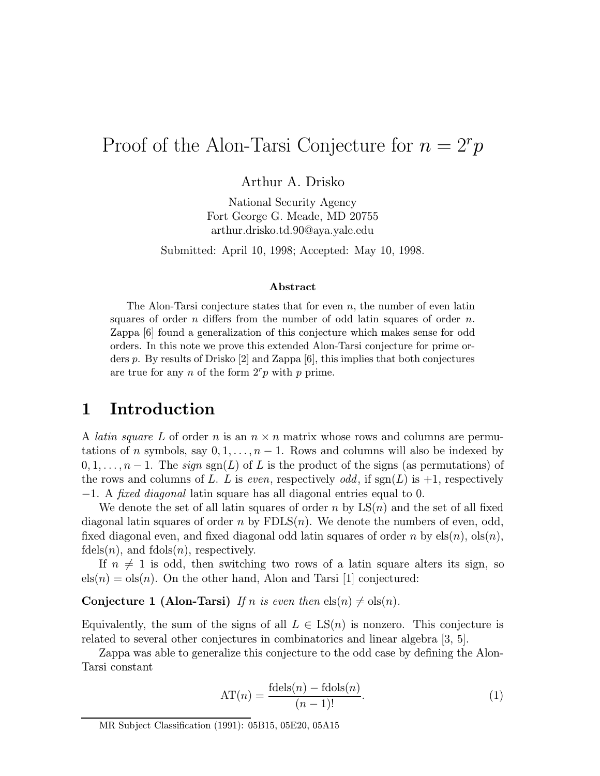# Proof of the Alon-Tarsi Conjecture for  $n = 2<sup>r</sup> p$

Arthur A. Drisko

National Security Agency Fort George G. Meade, MD 20755 arthur.drisko.td.90@aya.yale.edu

Submitted: April 10, 1998; Accepted: May 10, 1998.

#### Abstract

The Alon-Tarsi conjecture states that for even  $n$ , the number of even latin squares of order n differs from the number of odd latin squares of order  $n$ . Zappa [6] found a generalization of this conjecture which makes sense for odd orders. In this note we prove this extended Alon-Tarsi conjecture for prime orders p. By results of Drisko [2] and Zappa [6], this implies that both conjectures are true for any n of the form  $2<sup>r</sup>p$  with p prime.

## 1 Introduction

A *latin square L* of order n is an  $n \times n$  matrix whose rows and columns are permutations of n symbols, say  $0, 1, \ldots, n-1$ . Rows and columns will also be indexed by  $0, 1, \ldots, n-1$ . The sign sgn(L) of L is the product of the signs (as permutations) of the rows and columns of L. L is even, respectively odd, if  $sgn(L)$  is  $+1$ , respectively −1. A fixed diagonal latin square has all diagonal entries equal to 0.

We denote the set of all latin squares of order n by  $LS(n)$  and the set of all fixed diagonal latin squares of order n by  $FDLS(n)$ . We denote the numbers of even, odd, fixed diagonal even, and fixed diagonal odd latin squares of order n by  $els(n)$ ,  $ols(n)$ ,  $f \text{dels}(n)$ , and  $f \text{dols}(n)$ , respectively.

If  $n \neq 1$  is odd, then switching two rows of a latin square alters its sign, so  $els(n) = ols(n)$ . On the other hand, Alon and Tarsi [1] conjectured:

#### **Conjecture 1 (Alon-Tarsi)** If n is even then  $els(n) \neq obs(n)$ .

Equivalently, the sum of the signs of all  $L \in \mathrm{LS}(n)$  is nonzero. This conjecture is related to several other conjectures in combinatorics and linear algebra [3, 5].

Zappa was able to generalize this conjecture to the odd case by defining the Alon-Tarsi constant

$$
AT(n) = \frac{\text{fdels}(n) - \text{fdols}(n)}{(n-1)!}.
$$
\n(1)

MR Subject Classification (1991): 05B15, 05E20, 05A15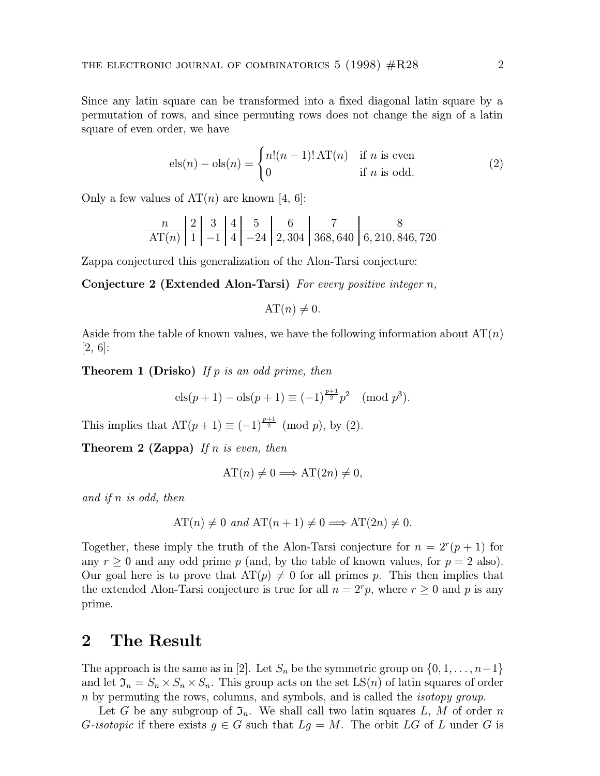Since any latin square can be transformed into a fixed diagonal latin square by a permutation of rows, and since permuting rows does not change the sign of a latin square of even order, we have

$$
els(n) -ols(n) = \begin{cases} n!(n-1)! \,\mathrm{AT}(n) & \text{if } n \text{ is even} \\ 0 & \text{if } n \text{ is odd.} \end{cases} \tag{2}
$$

Only a few values of  $AT(n)$  are known [4, 6]:

| n       | 2 | 3  | 4 | 5   | 6     | 7       | 8             |
|---------|---|----|---|-----|-------|---------|---------------|
| $AT(n)$ | 1 | -1 | 4 | -24 | 2,304 | 368,640 | 6,210,846,720 |

Zappa conjectured this generalization of the Alon-Tarsi conjecture:

**Conjecture 2 (Extended Alon-Tarsi)** For every positive integer  $n$ ,

$$
AT(n) \neq 0.
$$

Aside from the table of known values, we have the following information about  $AT(n)$  $[2, 6]:$ 

**Theorem 1 (Drisko)** If p is an odd prime, then

$$
els(p+1) - ols(p+1) \equiv (-1)^{\frac{p+1}{2}} p^2 \pmod{p^3}.
$$

This implies that  $AT(p+1) \equiv (-1)^{\frac{p+1}{2}} \pmod{p}$ , by (2).

**Theorem 2 (Zappa)** If n is even, then

$$
AT(n) \neq 0 \Longrightarrow AT(2n) \neq 0,
$$

and if n is odd, then

$$
AT(n) \neq 0
$$
 and  $AT(n+1) \neq 0 \implies AT(2n) \neq 0$ .

Together, these imply the truth of the Alon-Tarsi conjecture for  $n = 2<sup>r</sup>(p + 1)$  for any  $r \geq 0$  and any odd prime p (and, by the table of known values, for  $p = 2$  also). Our goal here is to prove that  $AT(p) \neq 0$  for all primes p. This then implies that the extended Alon-Tarsi conjecture is true for all  $n = 2<sup>r</sup>p$ , where  $r \ge 0$  and p is any prime.

### 2 The Result

The approach is the same as in [2]. Let  $S_n$  be the symmetric group on  $\{0, 1, \ldots, n-1\}$ and let  $\mathfrak{I}_n = S_n \times S_n \times S_n$ . This group acts on the set  $LS(n)$  of latin squares of order n by permuting the rows, columns, and symbols, and is called the isotopy group.

Let G be any subgroup of  $\mathfrak{I}_n$ . We shall call two latin squares L, M of order n G-isotopic if there exists  $g \in G$  such that  $Lg = M$ . The orbit LG of L under G is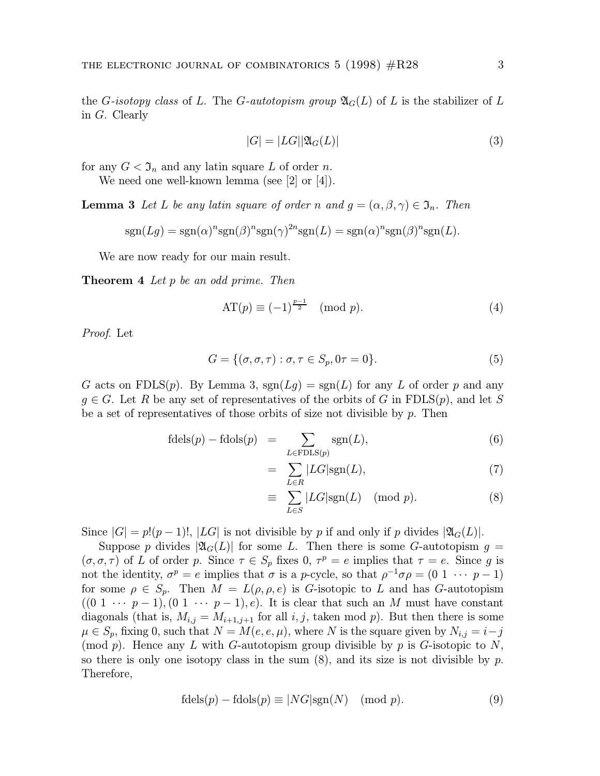the G-isotopy class of L. The G-autotopism group  $\mathfrak{A}_G(L)$  of L is the stabilizer of L in G. Clearly

$$
|G| = |LG||\mathfrak{A}_G(L)|\tag{3}
$$

for any  $G < \mathfrak{I}_n$  and any latin square L of order n.

We need one well-known lemma (see [2] or [4]).

**Lemma 3** Let L be any latin square of order n and  $g = (\alpha, \beta, \gamma) \in \mathfrak{I}_n$ . Then

$$
sgn(Lg) = sgn(\alpha)^n sgn(\beta)^n sgn(\gamma)^{2n} sgn(L) = sgn(\alpha)^n sgn(\beta)^n sgn(L).
$$

We are now ready for our main result.

Theorem 4 Let p be an odd prime. Then

$$
AT(p) \equiv (-1)^{\frac{p-1}{2}} \pmod{p}.
$$
 (4)

Proof. Let

$$
G = \{ (\sigma, \sigma, \tau) : \sigma, \tau \in S_p, 0\tau = 0 \}.
$$
\n<sup>(5)</sup>

G acts on FDLS(p). By Lemma 3,  $sgn(Lg) = sgn(L)$  for any L of order p and any  $q \in G$ . Let R be any set of representatives of the orbits of G in FDLS(p), and let S be a set of representatives of those orbits of size not divisible by  $p$ . Then

$$
\text{fdels}(p) - \text{fdols}(p) = \sum_{L \in \text{FDLS}(p)} \text{sgn}(L), \tag{6}
$$

$$
= \sum_{L \in R} |LG| \text{sgn}(L), \tag{7}
$$

$$
\equiv \sum_{L \in S} |LG| \text{sgn}(L) \pmod{p}.\tag{8}
$$

Since  $|G| = p!(p-1)!$ ,  $|LG|$  is not divisible by p if and only if p divides  $|\mathfrak{A}_G(L)|$ .

Suppose p divides  $|\mathfrak{A}_G(L)|$  for some L. Then there is some G-autotopism  $g =$  $(\sigma, \sigma, \tau)$  of L of order p. Since  $\tau \in S_p$  fixes 0,  $\tau^p = e$  implies that  $\tau = e$ . Since g is not the identity,  $\sigma^p = e$  implies that  $\sigma$  is a p-cycle, so that  $\rho^{-1}\sigma\rho = (0 \ 1 \ \cdots \ p-1)$ for some  $\rho \in S_p$ . Then  $M = L(\rho, \rho, e)$  is *G*-isotopic to L and has *G*-autotopism  $((0 \ 1 \ \cdots \ p-1), (0 \ 1 \ \cdots \ p-1), e).$  It is clear that such an M must have constant diagonals (that is,  $M_{i,j} = M_{i+1,j+1}$  for all  $i, j$ , taken mod p). But then there is some  $\mu \in S_p$ , fixing 0, such that  $N = M(e, e, \mu)$ , where N is the square given by  $N_{i,j} = i - j$ (mod p). Hence any L with G-autotopism group divisible by p is G-isotopic to  $N$ , so there is only one isotopy class in the sum  $(8)$ , and its size is not divisible by p. Therefore,

$$
\text{fdels}(p) - \text{fdols}(p) \equiv |NG| \text{sgn}(N) \pmod{p}.\tag{9}
$$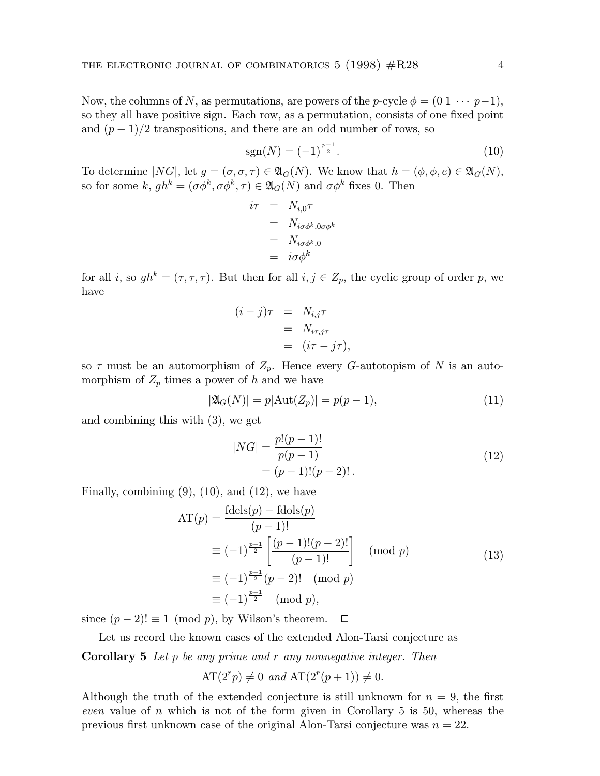Now, the columns of N, as permutations, are powers of the p-cycle  $\phi = (0 \ 1 \ \cdots \ p-1)$ , so they all have positive sign. Each row, as a permutation, consists of one fixed point and  $(p-1)/2$  transpositions, and there are an odd number of rows, so

$$
sgn(N) = (-1)^{\frac{p-1}{2}}.
$$
\n(10)

To determine  $|NG|$ , let  $g = (\sigma, \sigma, \tau) \in \mathfrak{A}_G(N)$ . We know that  $h = (\phi, \phi, e) \in \mathfrak{A}_G(N)$ , so for some k,  $gh^k = (\sigma \phi^k, \sigma \phi^k, \tau) \in \mathfrak{A}_G(N)$  and  $\sigma \phi^k$  fixes 0. Then

$$
i\tau = N_{i,0}\tau
$$
  
=  $N_{i\sigma\phi^k,0\sigma\phi^k}$   
=  $N_{i\sigma\phi^k,0}$   
=  $i\sigma\phi^k$ 

for all i, so  $gh^k = (\tau, \tau, \tau)$ . But then for all  $i, j \in Z_p$ , the cyclic group of order p, we have

$$
(i-j)\tau = N_{i,j}\tau
$$
  
=  $N_{i\tau,j\tau}$   
=  $(i\tau - j\tau)$ ,

so  $\tau$  must be an automorphism of  $Z_p$ . Hence every G-autotopism of N is an automorphism of  $Z_p$  times a power of h and we have

$$
|\mathfrak{A}_G(N)| = p|\text{Aut}(Z_p)| = p(p-1),\tag{11}
$$

and combining this with (3), we get

$$
|NG| = \frac{p!(p-1)!}{p(p-1)}
$$
  
= (p-1)!(p-2)! . (12)

Finally, combining  $(9)$ ,  $(10)$ , and  $(12)$ , we have

$$
AT(p) = \frac{\text{fdels}(p) - \text{fdols}(p)}{(p-1)!}
$$
  
\n
$$
\equiv (-1)^{\frac{p-1}{2}} \left[ \frac{(p-1)!(p-2)!}{(p-1)!} \right] \pmod{p}
$$
  
\n
$$
\equiv (-1)^{\frac{p-1}{2}} (p-2)! \pmod{p}
$$
  
\n
$$
\equiv (-1)^{\frac{p-1}{2}} \pmod{p},
$$
\n(13)

since  $(p-2)! \equiv 1 \pmod{p}$ , by Wilson's theorem.  $\Box$ 

Let us record the known cases of the extended Alon-Tarsi conjecture as **Corollary 5** Let p be any prime and r any nonnegative integer. Then

$$
AT(2rp) \neq 0 \text{ and } AT(2r(p+1)) \neq 0.
$$

Although the truth of the extended conjecture is still unknown for  $n = 9$ , the first even value of n which is not of the form given in Corollary  $5$  is  $50$ , whereas the previous first unknown case of the original Alon-Tarsi conjecture was  $n = 22$ .